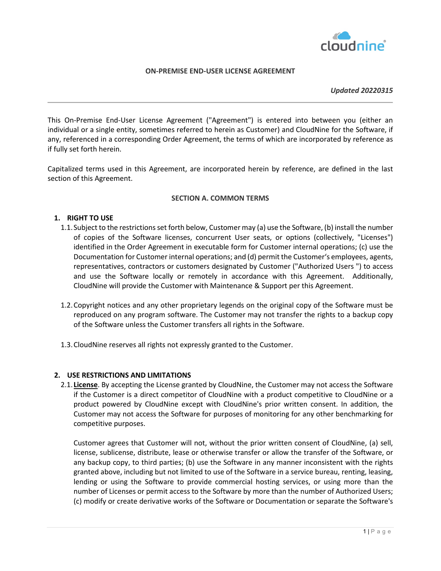

# **ON-PREMISE END-USER LICENSE AGREEMENT**

#### *Updated 20220315*

This On-Premise End-User License Agreement ("Agreement") is entered into between you (either an individual or a single entity, sometimes referred to herein as Customer) and CloudNine for the Software, if any, referenced in a corresponding Order Agreement, the terms of which are incorporated by reference as if fully set forth herein.

Capitalized terms used in this Agreement, are incorporated herein by reference, are defined in the last section of this Agreement.

## **SECTION A. COMMON TERMS**

# **1. RIGHT TO USE**

- 1.1.Subject to the restrictions set forth below, Customer may (a) use the Software, (b) install the number of copies of the Software licenses, concurrent User seats, or options (collectively, "Licenses") identified in the Order Agreement in executable form for Customer internal operations; (c) use the Documentation for Customer internal operations; and (d) permit the Customer's employees, agents, representatives, contractors or customers designated by Customer ("Authorized Users ") to access and use the Software locally or remotely in accordance with this Agreement. Additionally, CloudNine will provide the Customer with Maintenance & Support per this Agreement.
- 1.2.Copyright notices and any other proprietary legends on the original copy of the Software must be reproduced on any program software. The Customer may not transfer the rights to a backup copy of the Software unless the Customer transfers all rights in the Software.
- 1.3.CloudNine reserves all rights not expressly granted to the Customer.

### **2. USE RESTRICTIONS AND LIMITATIONS**

2.1. **License**. By accepting the License granted by CloudNine, the Customer may not access the Software if the Customer is a direct competitor of CloudNine with a product competitive to CloudNine or a product powered by CloudNine except with CloudNine's prior written consent. In addition, the Customer may not access the Software for purposes of monitoring for any other benchmarking for competitive purposes.

Customer agrees that Customer will not, without the prior written consent of CloudNine, (a) sell, license, sublicense, distribute, lease or otherwise transfer or allow the transfer of the Software, or any backup copy, to third parties; (b) use the Software in any manner inconsistent with the rights granted above, including but not limited to use of the Software in a service bureau, renting, leasing, lending or using the Software to provide commercial hosting services, or using more than the number of Licenses or permit access to the Software by more than the number of Authorized Users; (c) modify or create derivative works of the Software or Documentation or separate the Software's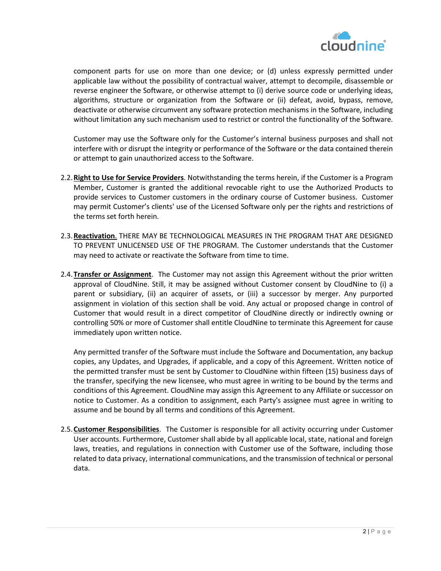

component parts for use on more than one device; or (d) unless expressly permitted under applicable law without the possibility of contractual waiver, attempt to decompile, disassemble or reverse engineer the Software, or otherwise attempt to (i) derive source code or underlying ideas, algorithms, structure or organization from the Software or (ii) defeat, avoid, bypass, remove, deactivate or otherwise circumvent any software protection mechanisms in the Software, including without limitation any such mechanism used to restrict or control the functionality of the Software.

Customer may use the Software only for the Customer's internal business purposes and shall not interfere with or disrupt the integrity or performance of the Software or the data contained therein or attempt to gain unauthorized access to the Software.

- 2.2.**Right to Use for Service Providers**. Notwithstanding the terms herein, if the Customer is a Program Member, Customer is granted the additional revocable right to use the Authorized Products to provide services to Customer customers in the ordinary course of Customer business. Customer may permit Customer's clients' use of the Licensed Software only per the rights and restrictions of the terms set forth herein.
- 2.3.**Reactivation**. THERE MAY BE TECHNOLOGICAL MEASURES IN THE PROGRAM THAT ARE DESIGNED TO PREVENT UNLICENSED USE OF THE PROGRAM. The Customer understands that the Customer may need to activate or reactivate the Software from time to time.
- 2.4.**Transfer or Assignment**. The Customer may not assign this Agreement without the prior written approval of CloudNine. Still, it may be assigned without Customer consent by CloudNine to (i) a parent or subsidiary, (ii) an acquirer of assets, or (iii) a successor by merger. Any purported assignment in violation of this section shall be void. Any actual or proposed change in control of Customer that would result in a direct competitor of CloudNine directly or indirectly owning or controlling 50% or more of Customer shall entitle CloudNine to terminate this Agreement for cause immediately upon written notice.

Any permitted transfer of the Software must include the Software and Documentation, any backup copies, any Updates, and Upgrades, if applicable, and a copy of this Agreement. Written notice of the permitted transfer must be sent by Customer to CloudNine within fifteen (15) business days of the transfer, specifying the new licensee, who must agree in writing to be bound by the terms and conditions of this Agreement. CloudNine may assign this Agreement to any Affiliate or successor on notice to Customer. As a condition to assignment, each Party's assignee must agree in writing to assume and be bound by all terms and conditions of this Agreement.

2.5.**Customer Responsibilities**. The Customer is responsible for all activity occurring under Customer User accounts. Furthermore, Customer shall abide by all applicable local, state, national and foreign laws, treaties, and regulations in connection with Customer use of the Software, including those related to data privacy, international communications, and the transmission of technical or personal data.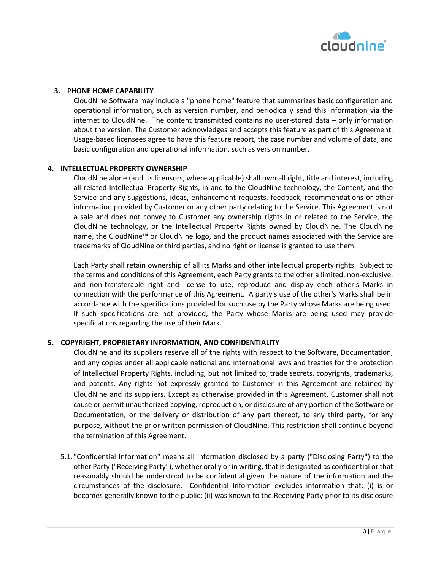

## **3. PHONE HOME CAPABILITY**

CloudNine Software may include a "phone home" feature that summarizes basic configuration and operational information, such as version number, and periodically send this information via the internet to CloudNine. The content transmitted contains no user-stored data – only information about the version. The Customer acknowledges and accepts this feature as part of this Agreement. Usage-based licensees agree to have this feature report, the case number and volume of data, and basic configuration and operational information, such as version number.

## **4. INTELLECTUAL PROPERTY OWNERSHIP**

CloudNine alone (and its licensors, where applicable) shall own all right, title and interest, including all related Intellectual Property Rights, in and to the CloudNine technology, the Content, and the Service and any suggestions, ideas, enhancement requests, feedback, recommendations or other information provided by Customer or any other party relating to the Service. This Agreement is not a sale and does not convey to Customer any ownership rights in or related to the Service, the CloudNine technology, or the Intellectual Property Rights owned by CloudNine. The CloudNine name, the CloudNine™ or CloudNine logo, and the product names associated with the Service are trademarks of CloudNine or third parties, and no right or license is granted to use them.

Each Party shall retain ownership of all its Marks and other intellectual property rights. Subject to the terms and conditions of this Agreement, each Party grants to the other a limited, non-exclusive, and non-transferable right and license to use, reproduce and display each other's Marks in connection with the performance of this Agreement. A party's use of the other's Marks shall be in accordance with the specifications provided for such use by the Party whose Marks are being used. If such specifications are not provided, the Party whose Marks are being used may provide specifications regarding the use of their Mark.

# **5. COPYRIGHT, PROPRIETARY INFORMATION, AND CONFIDENTIALITY**

CloudNine and its suppliers reserve all of the rights with respect to the Software, Documentation, and any copies under all applicable national and international laws and treaties for the protection of Intellectual Property Rights, including, but not limited to, trade secrets, copyrights, trademarks, and patents. Any rights not expressly granted to Customer in this Agreement are retained by CloudNine and its suppliers. Except as otherwise provided in this Agreement, Customer shall not cause or permit unauthorized copying, reproduction, or disclosure of any portion of the Software or Documentation, or the delivery or distribution of any part thereof, to any third party, for any purpose, without the prior written permission of CloudNine. This restriction shall continue beyond the termination of this Agreement.

5.1. "Confidential Information" means all information disclosed by a party ("Disclosing Party") to the other Party ("Receiving Party"), whether orally or in writing, that is designated as confidential or that reasonably should be understood to be confidential given the nature of the information and the circumstances of the disclosure. Confidential Information excludes information that: (i) is or becomes generally known to the public; (ii) was known to the Receiving Party prior to its disclosure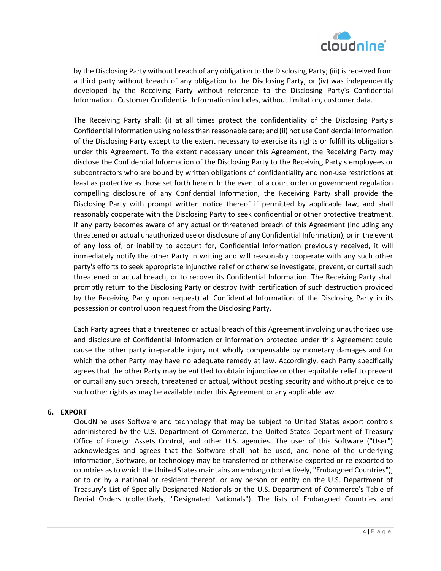

by the Disclosing Party without breach of any obligation to the Disclosing Party; (iii) is received from a third party without breach of any obligation to the Disclosing Party; or (iv) was independently developed by the Receiving Party without reference to the Disclosing Party's Confidential Information. Customer Confidential Information includes, without limitation, customer data.

The Receiving Party shall: (i) at all times protect the confidentiality of the Disclosing Party's Confidential Information using no less than reasonable care; and (ii) not use Confidential Information of the Disclosing Party except to the extent necessary to exercise its rights or fulfill its obligations under this Agreement. To the extent necessary under this Agreement, the Receiving Party may disclose the Confidential Information of the Disclosing Party to the Receiving Party's employees or subcontractors who are bound by written obligations of confidentiality and non-use restrictions at least as protective as those set forth herein. In the event of a court order or government regulation compelling disclosure of any Confidential Information, the Receiving Party shall provide the Disclosing Party with prompt written notice thereof if permitted by applicable law, and shall reasonably cooperate with the Disclosing Party to seek confidential or other protective treatment. If any party becomes aware of any actual or threatened breach of this Agreement (including any threatened or actual unauthorized use or disclosure of any Confidential Information), or in the event of any loss of, or inability to account for, Confidential Information previously received, it will immediately notify the other Party in writing and will reasonably cooperate with any such other party's efforts to seek appropriate injunctive relief or otherwise investigate, prevent, or curtail such threatened or actual breach, or to recover its Confidential Information. The Receiving Party shall promptly return to the Disclosing Party or destroy (with certification of such destruction provided by the Receiving Party upon request) all Confidential Information of the Disclosing Party in its possession or control upon request from the Disclosing Party.

Each Party agrees that a threatened or actual breach of this Agreement involving unauthorized use and disclosure of Confidential Information or information protected under this Agreement could cause the other party irreparable injury not wholly compensable by monetary damages and for which the other Party may have no adequate remedy at law. Accordingly, each Party specifically agrees that the other Party may be entitled to obtain injunctive or other equitable relief to prevent or curtail any such breach, threatened or actual, without posting security and without prejudice to such other rights as may be available under this Agreement or any applicable law.

# **6. EXPORT**

CloudNine uses Software and technology that may be subject to United States export controls administered by the U.S. Department of Commerce, the United States Department of Treasury Office of Foreign Assets Control, and other U.S. agencies. The user of this Software ("User") acknowledges and agrees that the Software shall not be used, and none of the underlying information, Software, or technology may be transferred or otherwise exported or re-exported to countries as to which the United States maintains an embargo (collectively, "Embargoed Countries"), or to or by a national or resident thereof, or any person or entity on the U.S. Department of Treasury's List of Specially Designated Nationals or the U.S. Department of Commerce's Table of Denial Orders (collectively, "Designated Nationals"). The lists of Embargoed Countries and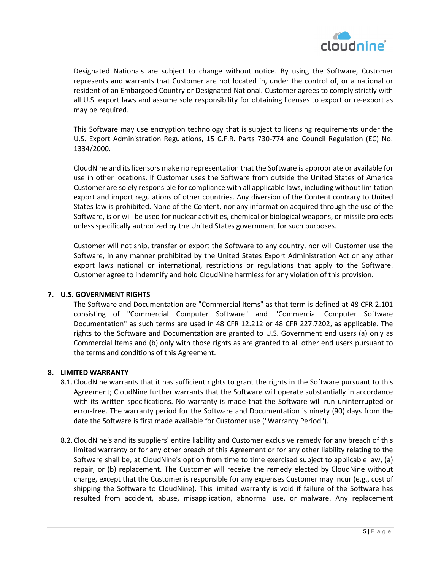

Designated Nationals are subject to change without notice. By using the Software, Customer represents and warrants that Customer are not located in, under the control of, or a national or resident of an Embargoed Country or Designated National. Customer agrees to comply strictly with all U.S. export laws and assume sole responsibility for obtaining licenses to export or re-export as may be required.

This Software may use encryption technology that is subject to licensing requirements under the U.S. Export Administration Regulations, 15 C.F.R. Parts 730-774 and Council Regulation (EC) No. 1334/2000.

CloudNine and its licensors make no representation that the Software is appropriate or available for use in other locations. If Customer uses the Software from outside the United States of America Customer are solely responsible for compliance with all applicable laws, including without limitation export and import regulations of other countries. Any diversion of the Content contrary to United States law is prohibited. None of the Content, nor any information acquired through the use of the Software, is or will be used for nuclear activities, chemical or biological weapons, or missile projects unless specifically authorized by the United States government for such purposes.

Customer will not ship, transfer or export the Software to any country, nor will Customer use the Software, in any manner prohibited by the United States Export Administration Act or any other export laws national or international, restrictions or regulations that apply to the Software. Customer agree to indemnify and hold CloudNine harmless for any violation of this provision.

# **7. U.S. GOVERNMENT RIGHTS**

The Software and Documentation are "Commercial Items" as that term is defined at 48 CFR 2.101 consisting of "Commercial Computer Software" and "Commercial Computer Software Documentation" as such terms are used in 48 CFR 12.212 or 48 CFR 227.7202, as applicable. The rights to the Software and Documentation are granted to U.S. Government end users (a) only as Commercial Items and (b) only with those rights as are granted to all other end users pursuant to the terms and conditions of this Agreement.

## **8. LIMITED WARRANTY**

- 8.1.CloudNine warrants that it has sufficient rights to grant the rights in the Software pursuant to this Agreement; CloudNine further warrants that the Software will operate substantially in accordance with its written specifications. No warranty is made that the Software will run uninterrupted or error-free. The warranty period for the Software and Documentation is ninety (90) days from the date the Software is first made available for Customer use ("Warranty Period").
- 8.2.CloudNine's and its suppliers' entire liability and Customer exclusive remedy for any breach of this limited warranty or for any other breach of this Agreement or for any other liability relating to the Software shall be, at CloudNine's option from time to time exercised subject to applicable law, (a) repair, or (b) replacement. The Customer will receive the remedy elected by CloudNine without charge, except that the Customer is responsible for any expenses Customer may incur (e.g., cost of shipping the Software to CloudNine). This limited warranty is void if failure of the Software has resulted from accident, abuse, misapplication, abnormal use, or malware. Any replacement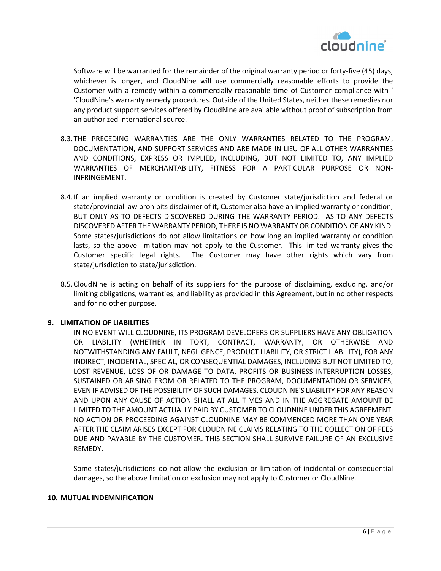

Software will be warranted for the remainder of the original warranty period or forty-five (45) days, whichever is longer, and CloudNine will use commercially reasonable efforts to provide the Customer with a remedy within a commercially reasonable time of Customer compliance with ' 'CloudNine's warranty remedy procedures. Outside of the United States, neither these remedies nor any product support services offered by CloudNine are available without proof of subscription from an authorized international source.

- 8.3.THE PRECEDING WARRANTIES ARE THE ONLY WARRANTIES RELATED TO THE PROGRAM, DOCUMENTATION, AND SUPPORT SERVICES AND ARE MADE IN LIEU OF ALL OTHER WARRANTIES AND CONDITIONS, EXPRESS OR IMPLIED, INCLUDING, BUT NOT LIMITED TO, ANY IMPLIED WARRANTIES OF MERCHANTABILITY, FITNESS FOR A PARTICULAR PURPOSE OR NON-INFRINGEMENT.
- 8.4.If an implied warranty or condition is created by Customer state/jurisdiction and federal or state/provincial law prohibits disclaimer of it, Customer also have an implied warranty or condition, BUT ONLY AS TO DEFECTS DISCOVERED DURING THE WARRANTY PERIOD. AS TO ANY DEFECTS DISCOVERED AFTER THE WARRANTY PERIOD, THERE IS NO WARRANTY OR CONDITION OF ANY KIND. Some states/jurisdictions do not allow limitations on how long an implied warranty or condition lasts, so the above limitation may not apply to the Customer. This limited warranty gives the Customer specific legal rights. The Customer may have other rights which vary from state/jurisdiction to state/jurisdiction.
- 8.5.CloudNine is acting on behalf of its suppliers for the purpose of disclaiming, excluding, and/or limiting obligations, warranties, and liability as provided in this Agreement, but in no other respects and for no other purpose.

### **9. LIMITATION OF LIABILITIES**

IN NO EVENT WILL CLOUDNINE, ITS PROGRAM DEVELOPERS OR SUPPLIERS HAVE ANY OBLIGATION OR LIABILITY (WHETHER IN TORT, CONTRACT, WARRANTY, OR OTHERWISE AND NOTWITHSTANDING ANY FAULT, NEGLIGENCE, PRODUCT LIABILITY, OR STRICT LIABILITY), FOR ANY INDIRECT, INCIDENTAL, SPECIAL, OR CONSEQUENTIAL DAMAGES, INCLUDING BUT NOT LIMITED TO, LOST REVENUE, LOSS OF OR DAMAGE TO DATA, PROFITS OR BUSINESS INTERRUPTION LOSSES, SUSTAINED OR ARISING FROM OR RELATED TO THE PROGRAM, DOCUMENTATION OR SERVICES, EVEN IF ADVISED OF THE POSSIBILITY OF SUCH DAMAGES. CLOUDNINE'S LIABILITY FOR ANY REASON AND UPON ANY CAUSE OF ACTION SHALL AT ALL TIMES AND IN THE AGGREGATE AMOUNT BE LIMITED TO THE AMOUNT ACTUALLY PAID BY CUSTOMER TO CLOUDNINE UNDER THIS AGREEMENT. NO ACTION OR PROCEEDING AGAINST CLOUDNINE MAY BE COMMENCED MORE THAN ONE YEAR AFTER THE CLAIM ARISES EXCEPT FOR CLOUDNINE CLAIMS RELATING TO THE COLLECTION OF FEES DUE AND PAYABLE BY THE CUSTOMER. THIS SECTION SHALL SURVIVE FAILURE OF AN EXCLUSIVE REMEDY.

Some states/jurisdictions do not allow the exclusion or limitation of incidental or consequential damages, so the above limitation or exclusion may not apply to Customer or CloudNine.

### **10. MUTUAL INDEMNIFICATION**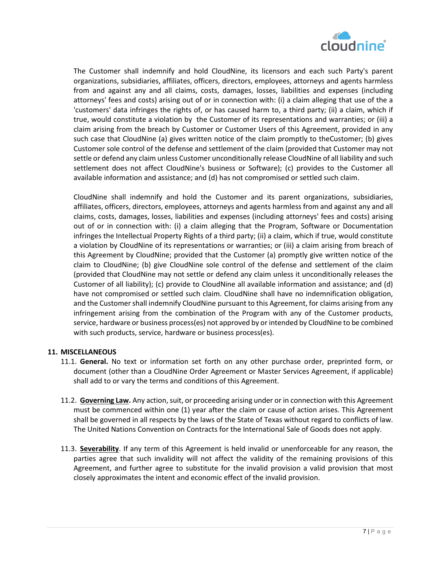

The Customer shall indemnify and hold CloudNine, its licensors and each such Party's parent organizations, subsidiaries, affiliates, officers, directors, employees, attorneys and agents harmless from and against any and all claims, costs, damages, losses, liabilities and expenses (including attorneys' fees and costs) arising out of or in connection with: (i) a claim alleging that use of the a 'customers' data infringes the rights of, or has caused harm to, a third party; (ii) a claim, which if true, would constitute a violation by the Customer of its representations and warranties; or (iii) a claim arising from the breach by Customer or Customer Users of this Agreement, provided in any such case that CloudNine (a) gives written notice of the claim promptly to theCustomer; (b) gives Customer sole control of the defense and settlement of the claim (provided that Customer may not settle or defend any claim unless Customer unconditionally release CloudNine of all liability and such settlement does not affect CloudNine's business or Software); (c) provides to the Customer all available information and assistance; and (d) has not compromised or settled such claim.

CloudNine shall indemnify and hold the Customer and its parent organizations, subsidiaries, affiliates, officers, directors, employees, attorneys and agents harmless from and against any and all claims, costs, damages, losses, liabilities and expenses (including attorneys' fees and costs) arising out of or in connection with: (i) a claim alleging that the Program, Software or Documentation infringes the Intellectual Property Rights of a third party; (ii) a claim, which if true, would constitute a violation by CloudNine of its representations or warranties; or (iii) a claim arising from breach of this Agreement by CloudNine; provided that the Customer (a) promptly give written notice of the claim to CloudNine; (b) give CloudNine sole control of the defense and settlement of the claim (provided that CloudNine may not settle or defend any claim unless it unconditionally releases the Customer of all liability); (c) provide to CloudNine all available information and assistance; and (d) have not compromised or settled such claim. CloudNine shall have no indemnification obligation, and the Customer shall indemnify CloudNine pursuant to this Agreement, for claims arising from any infringement arising from the combination of the Program with any of the Customer products, service, hardware or business process(es) not approved by or intended by CloudNine to be combined with such products, service, hardware or business process(es).

# **11. MISCELLANEOUS**

- 11.1. **General.** No text or information set forth on any other purchase order, preprinted form, or document (other than a CloudNine Order Agreement or Master Services Agreement, if applicable) shall add to or vary the terms and conditions of this Agreement.
- 11.2. **Governing Law.** Any action, suit, or proceeding arising under or in connection with this Agreement must be commenced within one (1) year after the claim or cause of action arises. This Agreement shall be governed in all respects by the laws of the State of Texas without regard to conflicts of law. The United Nations Convention on Contracts for the International Sale of Goods does not apply.
- 11.3. **Severability**. If any term of this Agreement is held invalid or unenforceable for any reason, the parties agree that such invalidity will not affect the validity of the remaining provisions of this Agreement, and further agree to substitute for the invalid provision a valid provision that most closely approximates the intent and economic effect of the invalid provision.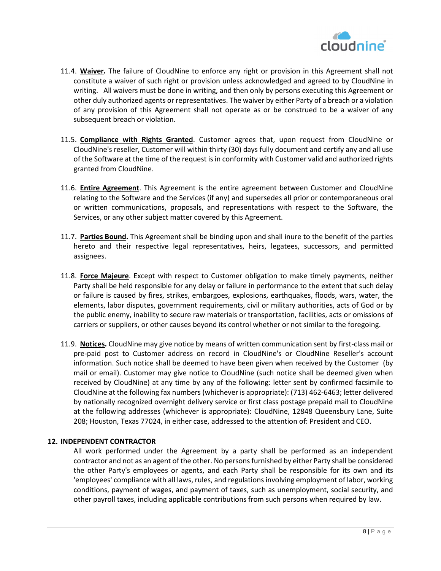

- 11.4. **Waiver.** The failure of CloudNine to enforce any right or provision in this Agreement shall not constitute a waiver of such right or provision unless acknowledged and agreed to by CloudNine in writing. All waivers must be done in writing, and then only by persons executing this Agreement or other duly authorized agents or representatives. The waiver by either Party of a breach or a violation of any provision of this Agreement shall not operate as or be construed to be a waiver of any subsequent breach or violation.
- 11.5. **Compliance with Rights Granted**. Customer agrees that, upon request from CloudNine or CloudNine's reseller, Customer will within thirty (30) days fully document and certify any and all use of the Software at the time of the request is in conformity with Customer valid and authorized rights granted from CloudNine.
- 11.6. **Entire Agreement**. This Agreement is the entire agreement between Customer and CloudNine relating to the Software and the Services (if any) and supersedes all prior or contemporaneous oral or written communications, proposals, and representations with respect to the Software, the Services, or any other subject matter covered by this Agreement.
- 11.7. **Parties Bound.** This Agreement shall be binding upon and shall inure to the benefit of the parties hereto and their respective legal representatives, heirs, legatees, successors, and permitted assignees.
- 11.8. **Force Majeure**. Except with respect to Customer obligation to make timely payments, neither Party shall be held responsible for any delay or failure in performance to the extent that such delay or failure is caused by fires, strikes, embargoes, explosions, earthquakes, floods, wars, water, the elements, labor disputes, government requirements, civil or military authorities, acts of God or by the public enemy, inability to secure raw materials or transportation, facilities, acts or omissions of carriers or suppliers, or other causes beyond its control whether or not similar to the foregoing.
- 11.9. **Notices.** CloudNine may give notice by means of written communication sent by first-class mail or pre-paid post to Customer address on record in CloudNine's or CloudNine Reseller's account information. Such notice shall be deemed to have been given when received by the Customer (by mail or email). Customer may give notice to CloudNine (such notice shall be deemed given when received by CloudNine) at any time by any of the following: letter sent by confirmed facsimile to CloudNine at the following fax numbers (whichever is appropriate): (713) 462-6463; letter delivered by nationally recognized overnight delivery service or first class postage prepaid mail to CloudNine at the following addresses (whichever is appropriate): CloudNine, 12848 Queensbury Lane, Suite 208; Houston, Texas 77024, in either case, addressed to the attention of: President and CEO.

### **12. INDEPENDENT CONTRACTOR**

All work performed under the Agreement by a party shall be performed as an independent contractor and not as an agent of the other. No persons furnished by either Party shall be considered the other Party's employees or agents, and each Party shall be responsible for its own and its 'employees' compliance with all laws, rules, and regulations involving employment of labor, working conditions, payment of wages, and payment of taxes, such as unemployment, social security, and other payroll taxes, including applicable contributions from such persons when required by law.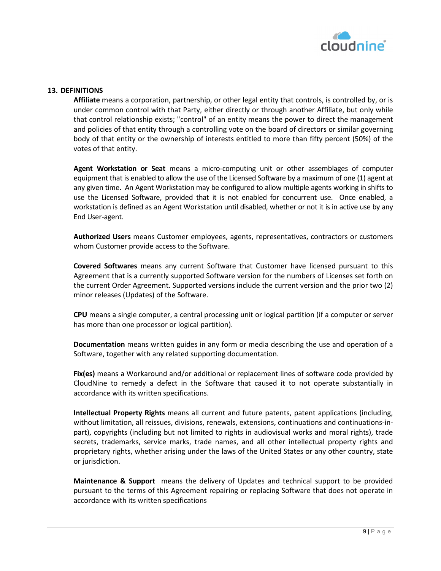

## **13. DEFINITIONS**

**Affiliate** means a corporation, partnership, or other legal entity that controls, is controlled by, or is under common control with that Party, either directly or through another Affiliate, but only while that control relationship exists; "control" of an entity means the power to direct the management and policies of that entity through a controlling vote on the board of directors or similar governing body of that entity or the ownership of interests entitled to more than fifty percent (50%) of the votes of that entity.

**Agent Workstation or Seat** means a micro-computing unit or other assemblages of computer equipment that is enabled to allow the use of the Licensed Software by a maximum of one (1) agent at any given time. An Agent Workstation may be configured to allow multiple agents working in shifts to use the Licensed Software, provided that it is not enabled for concurrent use. Once enabled, a workstation is defined as an Agent Workstation until disabled, whether or not it is in active use by any End User-agent.

**Authorized Users** means Customer employees, agents, representatives, contractors or customers whom Customer provide access to the Software.

**Covered Softwares** means any current Software that Customer have licensed pursuant to this Agreement that is a currently supported Software version for the numbers of Licenses set forth on the current Order Agreement. Supported versions include the current version and the prior two (2) minor releases (Updates) of the Software.

**CPU** means a single computer, a central processing unit or logical partition (if a computer or server has more than one processor or logical partition).

**Documentation** means written guides in any form or media describing the use and operation of a Software, together with any related supporting documentation.

**Fix(es)** means a Workaround and/or additional or replacement lines of software code provided by CloudNine to remedy a defect in the Software that caused it to not operate substantially in accordance with its written specifications.

**Intellectual Property Rights** means all current and future patents, patent applications (including, without limitation, all reissues, divisions, renewals, extensions, continuations and continuations-inpart), copyrights (including but not limited to rights in audiovisual works and moral rights), trade secrets, trademarks, service marks, trade names, and all other intellectual property rights and proprietary rights, whether arising under the laws of the United States or any other country, state or jurisdiction.

**Maintenance & Support** means the delivery of Updates and technical support to be provided pursuant to the terms of this Agreement repairing or replacing Software that does not operate in accordance with its written specifications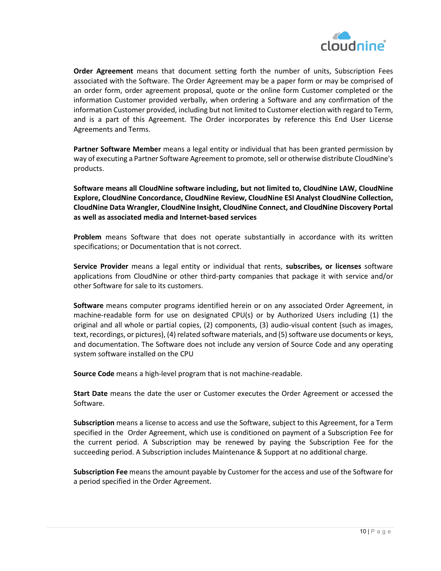

**Order Agreement** means that document setting forth the number of units, Subscription Fees associated with the Software. The Order Agreement may be a paper form or may be comprised of an order form, order agreement proposal, quote or the online form Customer completed or the information Customer provided verbally, when ordering a Software and any confirmation of the information Customer provided, including but not limited to Customer election with regard to Term, and is a part of this Agreement. The Order incorporates by reference this End User License Agreements and Terms.

**Partner Software Member** means a legal entity or individual that has been granted permission by way of executing a Partner Software Agreement to promote, sell or otherwise distribute CloudNine's products.

**Software means all CloudNine software including, but not limited to, CloudNine LAW, CloudNine Explore, CloudNine Concordance, CloudNine Review, CloudNine ESI Analyst CloudNine Collection, CloudNine Data Wrangler, CloudNine Insight, CloudNine Connect, and CloudNine Discovery Portal as well as associated media and Internet-based services**

**Problem** means Software that does not operate substantially in accordance with its written specifications; or Documentation that is not correct.

**Service Provider** means a legal entity or individual that rents, **subscribes, or licenses** software applications from CloudNine or other third-party companies that package it with service and/or other Software for sale to its customers.

**Software** means computer programs identified herein or on any associated Order Agreement, in machine-readable form for use on designated CPU(s) or by Authorized Users including (1) the original and all whole or partial copies, (2) components, (3) audio-visual content (such as images, text, recordings, or pictures), (4) related software materials, and (5) software use documents or keys, and documentation. The Software does not include any version of Source Code and any operating system software installed on the CPU

**Source Code** means a high-level program that is not machine-readable.

**Start Date** means the date the user or Customer executes the Order Agreement or accessed the Software.

**Subscription** means a license to access and use the Software, subject to this Agreement, for a Term specified in the Order Agreement, which use is conditioned on payment of a Subscription Fee for the current period. A Subscription may be renewed by paying the Subscription Fee for the succeeding period. A Subscription includes Maintenance & Support at no additional charge.

**Subscription Fee** means the amount payable by Customer for the access and use of the Software for a period specified in the Order Agreement.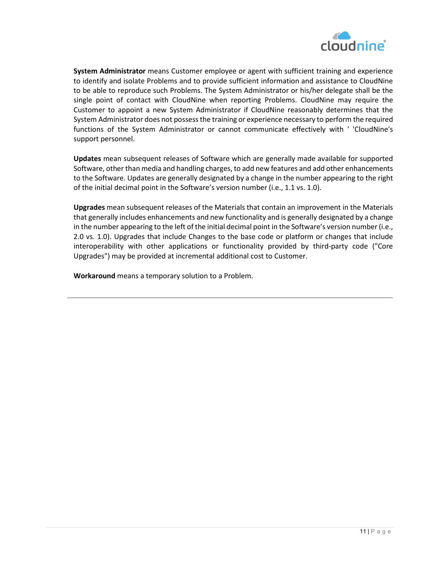

**System Administrator** means Customer employee or agent with sufficient training and experience to identify and isolate Problems and to provide sufficient information and assistance to CloudNine to be able to reproduce such Problems. The System Administrator or his/her delegate shall be the single point of contact with CloudNine when reporting Problems. CloudNine may require the Customer to appoint a new System Administrator if CloudNine reasonably determines that the System Administrator does not possess the training or experience necessary to perform the required functions of the System Administrator or cannot communicate effectively with ' 'CloudNine's support personnel.

**Updates** mean subsequent releases of Software which are generally made available for supported Software, other than media and handling charges, to add new features and add other enhancements to the Software. Updates are generally designated by a change in the number appearing to the right of the initial decimal point in the Software's version number (i.e., 1.1 vs. 1.0).

**Upgrades** mean subsequent releases of the Materials that contain an improvement in the Materials that generally includes enhancements and new functionality and is generally designated by a change in the number appearing to the left of the initial decimal point in the Software's version number (i.e., 2.0 vs. 1.0). Upgrades that include Changes to the base code or platform or changes that include interoperability with other applications or functionality provided by third-party code ("Core Upgrades") may be provided at incremental additional cost to Customer.

**Workaround** means a temporary solution to a Problem.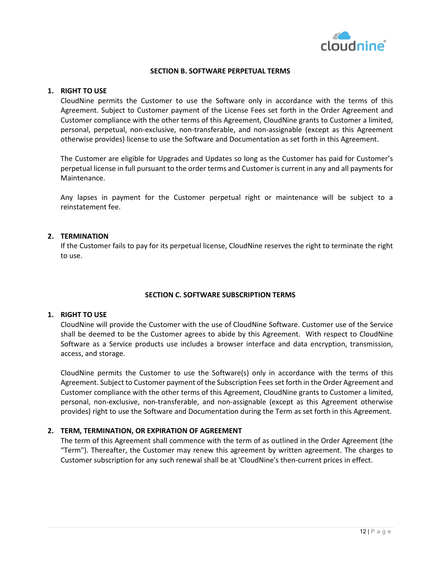

## **SECTION B. SOFTWARE PERPETUAL TERMS**

### **1. RIGHT TO USE**

CloudNine permits the Customer to use the Software only in accordance with the terms of this Agreement. Subject to Customer payment of the License Fees set forth in the Order Agreement and Customer compliance with the other terms of this Agreement, CloudNine grants to Customer a limited, personal, perpetual, non-exclusive, non-transferable, and non-assignable (except as this Agreement otherwise provides) license to use the Software and Documentation as set forth in this Agreement.

The Customer are eligible for Upgrades and Updates so long as the Customer has paid for Customer's perpetual license in full pursuant to the order terms and Customer is current in any and all payments for Maintenance.

Any lapses in payment for the Customer perpetual right or maintenance will be subject to a reinstatement fee.

## **2. TERMINATION**

If the Customer fails to pay for its perpetual license, CloudNine reserves the right to terminate the right to use.

### **SECTION C. SOFTWARE SUBSCRIPTION TERMS**

### **1. RIGHT TO USE**

CloudNine will provide the Customer with the use of CloudNine Software. Customer use of the Service shall be deemed to be the Customer agrees to abide by this Agreement. With respect to CloudNine Software as a Service products use includes a browser interface and data encryption, transmission, access, and storage.

CloudNine permits the Customer to use the Software(s) only in accordance with the terms of this Agreement. Subject to Customer payment of the Subscription Fees set forth in the Order Agreement and Customer compliance with the other terms of this Agreement, CloudNine grants to Customer a limited, personal, non-exclusive, non-transferable, and non-assignable (except as this Agreement otherwise provides) right to use the Software and Documentation during the Term as set forth in this Agreement.

# **2. TERM, TERMINATION, OR EXPIRATION OF AGREEMENT**

The term of this Agreement shall commence with the term of as outlined in the Order Agreement (the "Term"). Thereafter, the Customer may renew this agreement by written agreement. The charges to Customer subscription for any such renewal shall be at 'CloudNine's then-current prices in effect.